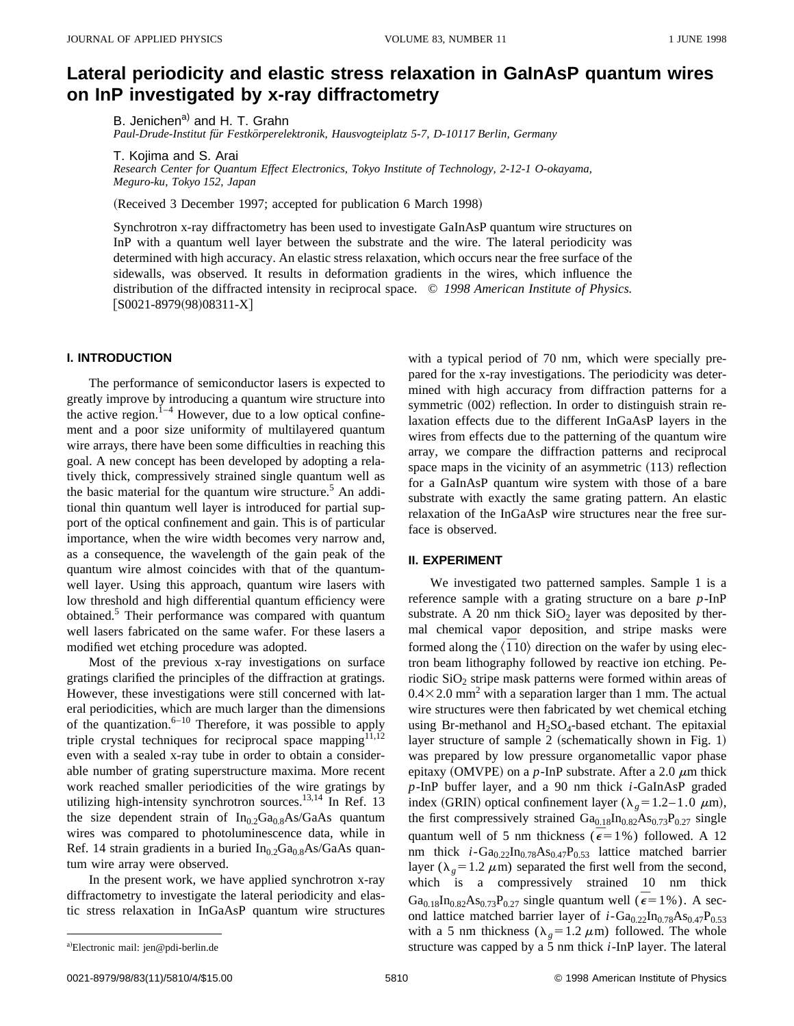# **Lateral periodicity and elastic stress relaxation in GaInAsP quantum wires on InP investigated by x-ray diffractometry**

B. Jenichen<sup>a)</sup> and H. T. Grahn

Paul-Drude-Institut für Festkörperelektronik, Hausvogteiplatz 5-7, D-10117 Berlin, Germany

T. Kojima and S. Arai

*Research Center for Quantum Effect Electronics, Tokyo Institute of Technology, 2-12-1 O-okayama, Meguro-ku, Tokyo 152, Japan*

(Received 3 December 1997; accepted for publication 6 March 1998)

Synchrotron x-ray diffractometry has been used to investigate GaInAsP quantum wire structures on InP with a quantum well layer between the substrate and the wire. The lateral periodicity was determined with high accuracy. An elastic stress relaxation, which occurs near the free surface of the sidewalls, was observed. It results in deformation gradients in the wires, which influence the distribution of the diffracted intensity in reciprocal space. © *1998 American Institute of Physics.*  $[$ S0021-8979(98)08311-X $]$ 

## **I. INTRODUCTION**

The performance of semiconductor lasers is expected to greatly improve by introducing a quantum wire structure into the active region. $1-4$  However, due to a low optical confinement and a poor size uniformity of multilayered quantum wire arrays, there have been some difficulties in reaching this goal. A new concept has been developed by adopting a relatively thick, compressively strained single quantum well as the basic material for the quantum wire structure. $5$  An additional thin quantum well layer is introduced for partial support of the optical confinement and gain. This is of particular importance, when the wire width becomes very narrow and, as a consequence, the wavelength of the gain peak of the quantum wire almost coincides with that of the quantumwell layer. Using this approach, quantum wire lasers with low threshold and high differential quantum efficiency were obtained.<sup>5</sup> Their performance was compared with quantum well lasers fabricated on the same wafer. For these lasers a modified wet etching procedure was adopted.

Most of the previous x-ray investigations on surface gratings clarified the principles of the diffraction at gratings. However, these investigations were still concerned with lateral periodicities, which are much larger than the dimensions of the quantization. $6-10$  Therefore, it was possible to apply triple crystal techniques for reciprocal space mapping<sup>11,12</sup> even with a sealed x-ray tube in order to obtain a considerable number of grating superstructure maxima. More recent work reached smaller periodicities of the wire gratings by utilizing high-intensity synchrotron sources.<sup>13,14</sup> In Ref. 13 the size dependent strain of  $In<sub>0.2</sub>Ga<sub>0.8</sub>As/GaAs$  quantum wires was compared to photoluminescence data, while in Ref. 14 strain gradients in a buried  $In<sub>0.2</sub>Ga<sub>0.8</sub>As/GaAs$  quantum wire array were observed.

In the present work, we have applied synchrotron x-ray diffractometry to investigate the lateral periodicity and elastic stress relaxation in InGaAsP quantum wire structures with a typical period of 70 nm, which were specially prepared for the x-ray investigations. The periodicity was determined with high accuracy from diffraction patterns for a symmetric  $(002)$  reflection. In order to distinguish strain relaxation effects due to the different InGaAsP layers in the wires from effects due to the patterning of the quantum wire array, we compare the diffraction patterns and reciprocal space maps in the vicinity of an asymmetric  $(113)$  reflection for a GaInAsP quantum wire system with those of a bare substrate with exactly the same grating pattern. An elastic relaxation of the InGaAsP wire structures near the free surface is observed.

#### **II. EXPERIMENT**

We investigated two patterned samples. Sample 1 is a reference sample with a grating structure on a bare *p*-InP substrate. A 20 nm thick  $SiO<sub>2</sub>$  layer was deposited by thermal chemical vapor deposition, and stripe masks were formed along the  $\langle \overline{1}10 \rangle$  direction on the wafer by using electron beam lithography followed by reactive ion etching. Periodic  $SiO<sub>2</sub>$  stripe mask patterns were formed within areas of  $0.4\times2.0$  mm<sup>2</sup> with a separation larger than 1 mm. The actual wire structures were then fabricated by wet chemical etching using Br-methanol and  $H_2SO_4$ -based etchant. The epitaxial layer structure of sample 2 (schematically shown in Fig. 1) was prepared by low pressure organometallic vapor phase epitaxy (OMVPE) on a  $p$ -InP substrate. After a 2.0  $\mu$ m thick *p*-InP buffer layer, and a 90 nm thick *i*-GaInAsP graded index (GRIN) optical confinement layer ( $\lambda_g = 1.2 - 1.0 \mu m$ ), the first compressively strained  $Ga_{0.18}In_{0.82}As_{0.73}P_{0.27}$  single quantum well of 5 nm thickness ( $\vec{\epsilon}$ =1%) followed. A 12 nm thick  $i$ -Ga<sub>0.22</sub>In<sub>0.78</sub>As<sub>0.47</sub>P<sub>0.53</sub> lattice matched barrier layer ( $\lambda_p = 1.2 \mu$ m) separated the first well from the second, which is a compressively strained 10 nm thick  $Ga_{0.18}In_{0.82}As_{0.73}P_{0.27}$  single quantum well ( $\bar{\epsilon}$  = 1%). A second lattice matched barrier layer of  $i$ -Ga<sub>0.22</sub>In<sub>0.78</sub>As<sub>0.47</sub>P<sub>0.53</sub> with a 5 nm thickness ( $\lambda_g$ =1.2  $\mu$ m) followed. The whole structure was capped by a  $5$  nm thick  $i$ -InP layer. The lateral

Electronic mail: jen@pdi-berlin.de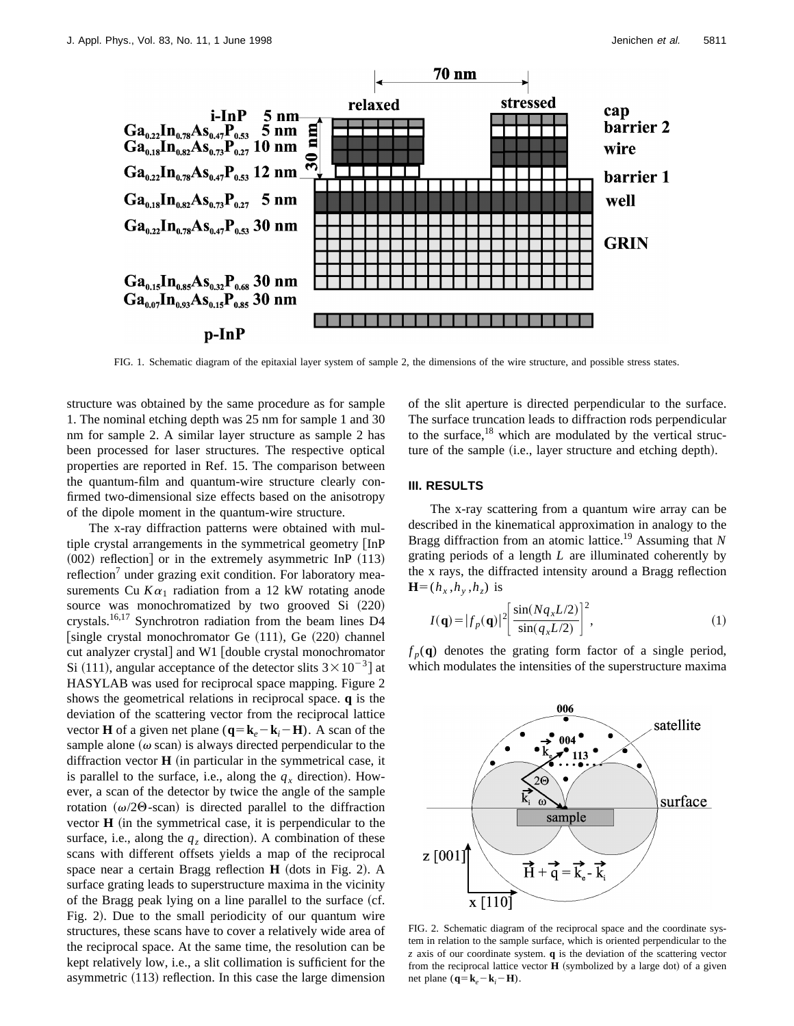

FIG. 1. Schematic diagram of the epitaxial layer system of sample 2, the dimensions of the wire structure, and possible stress states.

structure was obtained by the same procedure as for sample 1. The nominal etching depth was 25 nm for sample 1 and 30 nm for sample 2. A similar layer structure as sample 2 has been processed for laser structures. The respective optical properties are reported in Ref. 15. The comparison between the quantum-film and quantum-wire structure clearly confirmed two-dimensional size effects based on the anisotropy of the dipole moment in the quantum-wire structure.

The x-ray diffraction patterns were obtained with multiple crystal arrangements in the symmetrical geometry [InP]  $(002)$  reflection] or in the extremely asymmetric InP  $(113)$ reflection<sup>'</sup> under grazing exit condition. For laboratory measurements Cu  $K\alpha_1$  radiation from a 12 kW rotating anode source was monochromatized by two grooved Si (220) crystals.16,17 Synchrotron radiation from the beam lines D4 [single crystal monochromator Ge  $(111)$ , Ge  $(220)$  channel cut analyzer crystal] and W1 [double crystal monochromator Si (111), angular acceptance of the detector slits  $3 \times 10^{-3}$  at HASYLAB was used for reciprocal space mapping. Figure 2 shows the geometrical relations in reciprocal space. **q** is the deviation of the scattering vector from the reciprocal lattice vector **H** of a given net plane  $(\mathbf{q} = \mathbf{k}_e - \mathbf{k}_i - \mathbf{H})$ . A scan of the sample alone  $(\omega \, \text{scan})$  is always directed perpendicular to the diffraction vector  $H$  (in particular in the symmetrical case, it is parallel to the surface, i.e., along the  $q_x$  direction). However, a scan of the detector by twice the angle of the sample rotation  $(\omega/2\Theta$ -scan) is directed parallel to the diffraction vector  **(in the symmetrical case, it is perpendicular to the** surface, i.e., along the  $q_z$  direction). A combination of these scans with different offsets yields a map of the reciprocal space near a certain Bragg reflection **H** (dots in Fig. 2). A surface grating leads to superstructure maxima in the vicinity of the Bragg peak lying on a line parallel to the surface (cf. Fig. 2). Due to the small periodicity of our quantum wire structures, these scans have to cover a relatively wide area of the reciprocal space. At the same time, the resolution can be kept relatively low, i.e., a slit collimation is sufficient for the asymmetric  $(113)$  reflection. In this case the large dimension of the slit aperture is directed perpendicular to the surface. The surface truncation leads to diffraction rods perpendicular to the surface, $18$  which are modulated by the vertical structure of the sample (i.e., layer structure and etching depth).

# **III. RESULTS**

The x-ray scattering from a quantum wire array can be described in the kinematical approximation in analogy to the Bragg diffraction from an atomic lattice.19 Assuming that *N* grating periods of a length *L* are illuminated coherently by the x rays, the diffracted intensity around a Bragg reflection  $H=(h_x,h_y,h_z)$  is

$$
I(\mathbf{q}) = |f_p(\mathbf{q})|^2 \left[ \frac{\sin(Nq_x L/2)}{\sin(q_x L/2)} \right]^2,
$$
\n(1)

 $f_p(\mathbf{q})$  denotes the grating form factor of a single period, which modulates the intensities of the superstructure maxima



FIG. 2. Schematic diagram of the reciprocal space and the coordinate system in relation to the sample surface, which is oriented perpendicular to the *z* axis of our coordinate system. **q** is the deviation of the scattering vector from the reciprocal lattice vector  $H$  (symbolized by a large dot) of a given net plane ( $\mathbf{q} = \mathbf{k}_e - \mathbf{k}_i - \mathbf{H}$ ).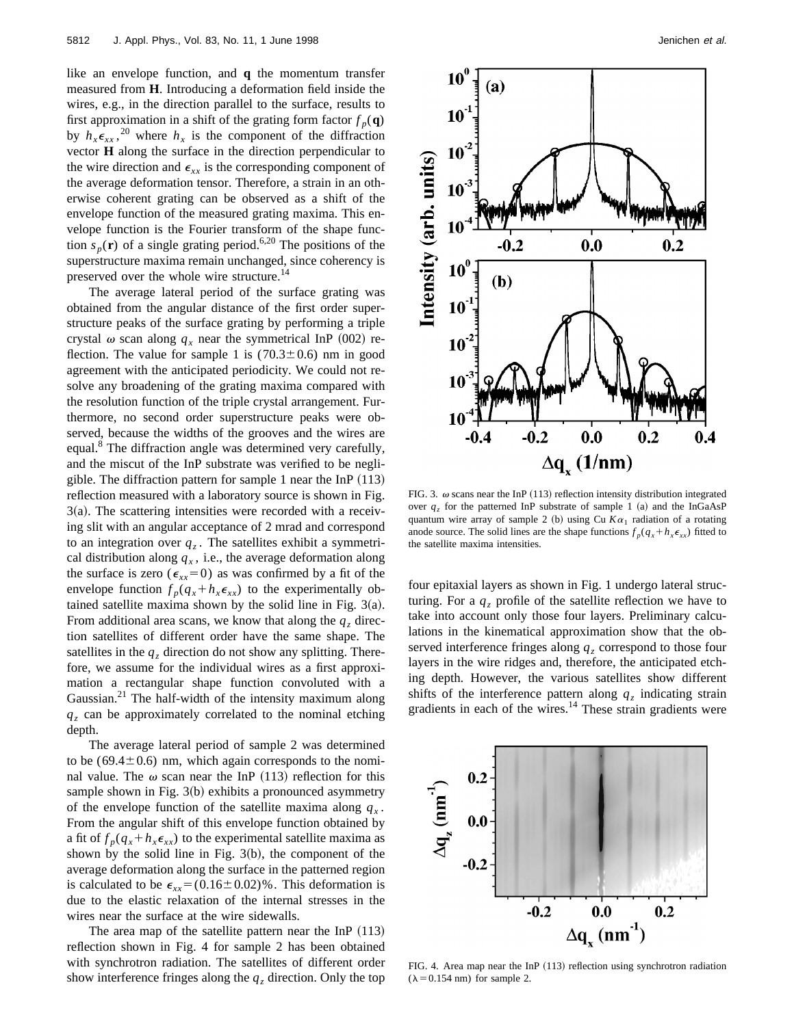like an envelope function, and **q** the momentum transfer measured from **H**. Introducing a deformation field inside the wires, e.g., in the direction parallel to the surface, results to first approximation in a shift of the grating form factor  $f_p(\mathbf{q})$ by  $h_x \epsilon_{xx}$ , <sup>20</sup> where  $h_x$  is the component of the diffraction vector **H** along the surface in the direction perpendicular to the wire direction and  $\epsilon_{xx}$  is the corresponding component of the average deformation tensor. Therefore, a strain in an otherwise coherent grating can be observed as a shift of the envelope function of the measured grating maxima. This envelope function is the Fourier transform of the shape function  $s_p(\mathbf{r})$  of a single grating period.<sup>6,20</sup> The positions of the superstructure maxima remain unchanged, since coherency is preserved over the whole wire structure.<sup>14</sup>

The average lateral period of the surface grating was obtained from the angular distance of the first order superstructure peaks of the surface grating by performing a triple crystal  $\omega$  scan along  $q_x$  near the symmetrical InP (002) reflection. The value for sample 1 is  $(70.3 \pm 0.6)$  nm in good agreement with the anticipated periodicity. We could not resolve any broadening of the grating maxima compared with the resolution function of the triple crystal arrangement. Furthermore, no second order superstructure peaks were observed, because the widths of the grooves and the wires are equal.<sup>8</sup> The diffraction angle was determined very carefully, and the miscut of the InP substrate was verified to be negligible. The diffraction pattern for sample 1 near the InP  $(113)$ reflection measured with a laboratory source is shown in Fig.  $3(a)$ . The scattering intensities were recorded with a receiving slit with an angular acceptance of 2 mrad and correspond to an integration over  $q_z$ . The satellites exhibit a symmetrical distribution along  $q_x$ , i.e., the average deformation along the surface is zero ( $\epsilon_{xx}=0$ ) as was confirmed by a fit of the envelope function  $f_p(q_x + h_x \epsilon_{xx})$  to the experimentally obtained satellite maxima shown by the solid line in Fig.  $3(a)$ . From additional area scans, we know that along the  $q<sub>z</sub>$  direction satellites of different order have the same shape. The satellites in the  $q_z$  direction do not show any splitting. Therefore, we assume for the individual wires as a first approximation a rectangular shape function convoluted with a Gaussian.<sup>21</sup> The half-width of the intensity maximum along  $q<sub>z</sub>$  can be approximately correlated to the nominal etching depth.

The average lateral period of sample 2 was determined to be  $(69.4 \pm 0.6)$  nm, which again corresponds to the nominal value. The  $\omega$  scan near the InP (113) reflection for this sample shown in Fig.  $3(b)$  exhibits a pronounced asymmetry of the envelope function of the satellite maxima along  $q<sub>x</sub>$ . From the angular shift of this envelope function obtained by a fit of  $f_p(q_x + h_x \epsilon_{xx})$  to the experimental satellite maxima as shown by the solid line in Fig.  $3(b)$ , the component of the average deformation along the surface in the patterned region is calculated to be  $\epsilon_{rr}$ =(0.16±0.02)%. This deformation is due to the elastic relaxation of the internal stresses in the wires near the surface at the wire sidewalls.

The area map of the satellite pattern near the InP  $(113)$ reflection shown in Fig. 4 for sample 2 has been obtained with synchrotron radiation. The satellites of different order show interference fringes along the  $q_z$  direction. Only the top



FIG. 3.  $\omega$  scans near the InP (113) reflection intensity distribution integrated over  $q_z$  for the patterned InP substrate of sample 1 (a) and the InGaAsP quantum wire array of sample 2 (b) using Cu  $K\alpha_1$  radiation of a rotating anode source. The solid lines are the shape functions  $f_p(q_x + h_x \epsilon_{xx})$  fitted to the satellite maxima intensities.

four epitaxial layers as shown in Fig. 1 undergo lateral structuring. For a  $q<sub>z</sub>$  profile of the satellite reflection we have to take into account only those four layers. Preliminary calculations in the kinematical approximation show that the observed interference fringes along *qz* correspond to those four layers in the wire ridges and, therefore, the anticipated etching depth. However, the various satellites show different shifts of the interference pattern along  $q<sub>z</sub>$  indicating strain gradients in each of the wires. $14$  These strain gradients were



FIG. 4. Area map near the InP  $(113)$  reflection using synchrotron radiation  $(\lambda = 0.154$  nm) for sample 2.